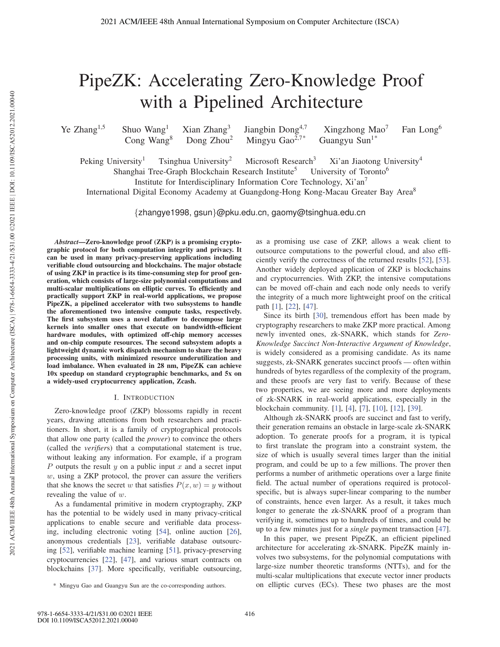# PipeZK: Accelerating Zero-Knowledge Proof with a Pipelined Architecture

Ye Zhang<sup>1,5</sup> Shuo Wang<sup>1</sup> Xian Zhang<sup>3</sup> Jiangbin Dong<sup>4,7</sup> Xingzhong Mao<sup>7</sup> Fan Long<sup>6</sup> Cong Wang<sup>8</sup> Dong Zhou<sup>2</sup> Mingyu Gao<sup>2,7\*</sup> Guangyu Sun<sup>1\*</sup>

Mingyu Gao $^{2,7*}$ 

Peking University<sup>1</sup> Tsinghua University<sup>2</sup> Microsoft Research<sup>3</sup> Xi'an Jiaotong University<sup>4</sup> Shanghai Tree-Graph Blockchain Research Institute<sup>5</sup> University of Toronto<sup>6</sup>

Institute for Interdisciplinary Information Core Technology, Xi'an<sup>7</sup>

International Digital Economy Academy at Guangdong-Hong Kong-Macau Greater Bay Area<sup>8</sup>

{zhangye1998, gsun}@pku.edu.cn, gaomy@tsinghua.edu.cn

*Abstract*—Zero-knowledge proof (ZKP) is a promising cryptographic protocol for both computation integrity and privacy. It can be used in many privacy-preserving applications including verifiable cloud outsourcing and blockchains. The major obstacle of using ZKP in practice is its time-consuming step for proof generation, which consists of large-size polynomial computations and multi-scalar multiplications on elliptic curves. To efficiently and practically support ZKP in real-world applications, we propose PipeZK, a pipelined accelerator with two subsystems to handle the aforementioned two intensive compute tasks, respectively. The first subsystem uses a novel dataflow to decompose large kernels into smaller ones that execute on bandwidth-efficient hardware modules, with optimized off-chip memory accesses and on-chip compute resources. The second subsystem adopts a lightweight dynamic work dispatch mechanism to share the heavy processing units, with minimized resource underutilization and load imbalance. When evaluated in 28 nm, PipeZK can achieve 10x speedup on standard cryptographic benchmarks, and 5x on a widely-used cryptocurrency application, Zcash.

## I. INTRODUCTION

Zero-knowledge proof (ZKP) blossoms rapidly in recent years, drawing attentions from both researchers and practitioners. In short, it is a family of cryptographical protocols that allow one party (called the *prover*) to convince the others (called the *verifier*s) that a computational statement is true, without leaking any information. For example, if a program  $P$  outputs the result  $y$  on a public input  $x$  and a secret input w, using a ZKP protocol, the prover can assure the verifiers that she knows the secret w that satisfies  $P(x, w) = y$  without revealing the value of w.

As a fundamental primitive in modern cryptography, ZKP has the potential to be widely used in many privacy-critical applications to enable secure and verifiable data processing, including electronic voting [54], online auction [26], anonymous credentials [23], verifiable database outsourcing [52], verifiable machine learning [51], privacy-preserving cryptocurrencies [22], [47], and various smart contracts on blockchains [37]. More specifically, verifiable outsourcing,

as a promising use case of ZKP, allows a weak client to outsource computations to the powerful cloud, and also efficiently verify the correctness of the returned results [52], [53]. Another widely deployed application of ZKP is blockchains and cryptocurrencies. With ZKP, the intensive computations can be moved off-chain and each node only needs to verify the integrity of a much more lightweight proof on the critical path [1], [22], [47].

Since its birth [30], tremendous effort has been made by cryptography researchers to make ZKP more practical. Among newly invented ones, zk-SNARK, which stands for *Zero-Knowledge Succinct Non-Interactive Argument of Knowledge*, is widely considered as a promising candidate. As its name suggests, zk-SNARK generates succinct proofs — often within hundreds of bytes regardless of the complexity of the program, and these proofs are very fast to verify. Because of these two properties, we are seeing more and more deployments of zk-SNARK in real-world applications, especially in the blockchain community. [1], [4], [7], [10], [12], [39].

Although zk-SNARK proofs are succinct and fast to verify, their generation remains an obstacle in large-scale zk-SNARK adoption. To generate proofs for a program, it is typical to first translate the program into a constraint system, the size of which is usually several times larger than the initial program, and could be up to a few millions. The prover then performs a number of arithmetic operations over a large finite field. The actual number of operations required is protocolspecific, but is always super-linear comparing to the number of constraints, hence even larger. As a result, it takes much longer to generate the zk-SNARK proof of a program than verifying it, sometimes up to hundreds of times, and could be up to a few minutes just for a *single* payment transaction [47].

In this paper, we present PipeZK, an efficient pipelined architecture for accelerating zk-SNARK. PipeZK mainly involves two subsystems, for the polynomial computations with large-size number theoretic transforms (NTTs), and for the multi-scalar multiplications that execute vector inner products on elliptic curves (ECs). These two phases are the most

<sup>\*</sup> Mingyu Gao and Guangyu Sun are the co-corresponding authors.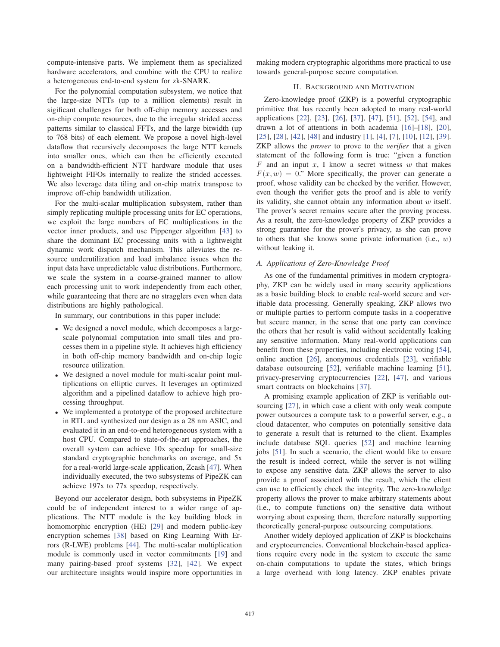compute-intensive parts. We implement them as specialized hardware accelerators, and combine with the CPU to realize a heterogeneous end-to-end system for zk-SNARK.

For the polynomial computation subsystem, we notice that the large-size NTTs (up to a million elements) result in sigificant challenges for both off-chip memory accesses and on-chip compute resources, due to the irregular strided access patterns similar to classical FFTs, and the large bitwidth (up to 768 bits) of each element. We propose a novel high-level dataflow that recursively decomposes the large NTT kernels into smaller ones, which can then be efficiently executed on a bandwidth-efficient NTT hardware module that uses lightweight FIFOs internally to realize the strided accesses. We also leverage data tiling and on-chip matrix transpose to improve off-chip bandwidth utilization.

For the multi-scalar multiplication subsystem, rather than simply replicating multiple processing units for EC operations, we exploit the large numbers of EC multiplications in the vector inner products, and use Pippenger algorithm [43] to share the dominant EC processing units with a lightweight dynamic work dispatch mechanism. This alleviates the resource underutilization and load imbalance issues when the input data have unpredictable value distributions. Furthermore, we scale the system in a coarse-grained manner to allow each processing unit to work independently from each other, while guaranteeing that there are no stragglers even when data distributions are highly pathological.

In summary, our contributions in this paper include:

- We designed a novel module, which decomposes a largescale polynomial computation into small tiles and processes them in a pipeline style. It achieves high efficiency in both off-chip memory bandwidth and on-chip logic resource utilization.
- We designed a novel module for multi-scalar point multiplications on elliptic curves. It leverages an optimized algorithm and a pipelined dataflow to achieve high processing throughput.
- We implemented a prototype of the proposed architecture in RTL and synthesized our design as a 28 nm ASIC, and evaluated it in an end-to-end heterogeneous system with a host CPU. Compared to state-of-the-art approaches, the overall system can achieve 10x speedup for small-size standard cryptographic benchmarks on average, and 5x for a real-world large-scale application, Zcash [47]. When individually executed, the two subsystems of PipeZK can achieve 197x to 77x speedup, respectively.

Beyond our accelerator design, both subsystems in PipeZK could be of independent interest to a wider range of applications. The NTT module is the key building block in homomorphic encryption (HE) [29] and modern public-key encryption schemes [38] based on Ring Learning With Errors (R-LWE) problems [44]. The multi-scalar multiplication module is commonly used in vector commitments [19] and many pairing-based proof systems [32], [42]. We expect our architecture insights would inspire more opportunities in making modern cryptographic algorithms more practical to use towards general-purpose secure computation.

# II. BACKGROUND AND MOTIVATION

Zero-knowledge proof (ZKP) is a powerful cryptographic primitive that has recently been adopted to many real-world applications [22], [23], [26], [37], [47], [51], [52], [54], and drawn a lot of attentions in both academia [16]–[18], [20], [25], [28], [42], [48] and industry [1], [4], [7], [10], [12], [39]. ZKP allows the *prover* to prove to the *verifier* that a given statement of the following form is true: "given a function  $F$  and an input  $x$ , I know a secret witness  $w$  that makes  $F(x, w) = 0$ ." More specifically, the prover can generate a proof, whose validity can be checked by the verifier. However, even though the verifier gets the proof and is able to verify its validity, she cannot obtain any information about  $w$  itself. The prover's secret remains secure after the proving process. As a result, the zero-knowledge property of ZKP provides a strong guarantee for the prover's privacy, as she can prove to others that she knows some private information (i.e.,  $w$ ) without leaking it.

# *A. Applications of Zero-Knowledge Proof*

As one of the fundamental primitives in modern cryptography, ZKP can be widely used in many security applications as a basic building block to enable real-world secure and verifiable data processing. Generally speaking, ZKP allows two or multiple parties to perform compute tasks in a cooperative but secure manner, in the sense that one party can convince the others that her result is valid without accidentally leaking any sensitive information. Many real-world applications can benefit from these properties, including electronic voting [54], online auction [26], anonymous credentials [23], verifiable database outsourcing [52], verifiable machine learning [51], privacy-preserving cryptocurrencies [22], [47], and various smart contracts on blockchains [37].

A promising example application of ZKP is verifiable outsourcing [27], in which case a client with only weak compute power outsources a compute task to a powerful server, e.g., a cloud datacenter, who computes on potentially sensitive data to generate a result that is returned to the client. Examples include database SQL queries [52] and machine learning jobs [51]. In such a scenario, the client would like to ensure the result is indeed correct, while the server is not willing to expose any sensitive data. ZKP allows the server to also provide a proof associated with the result, which the client can use to efficiently check the integrity. The zero-knowledge property allows the prover to make arbitrary statements about (i.e., to compute functions on) the sensitive data without worrying about exposing them, therefore naturally supporting theoretically general-purpose outsourcing computations.

Another widely deployed application of ZKP is blockchains and cryptocurrencies. Conventional blockchain-based applications require every node in the system to execute the same on-chain computations to update the states, which brings a large overhead with long latency. ZKP enables private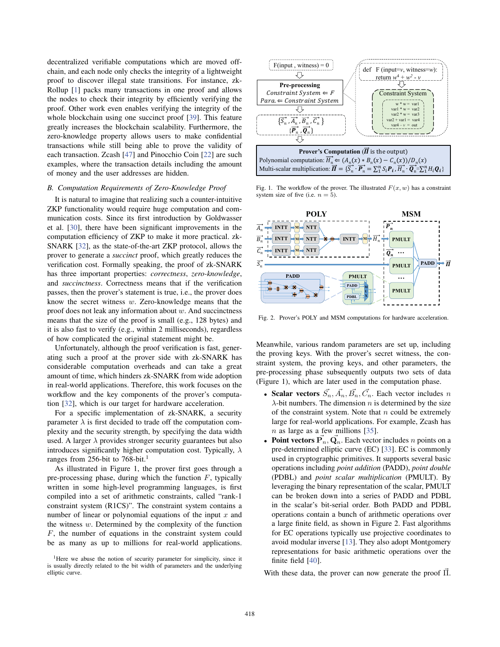decentralized verifiable computations which are moved offchain, and each node only checks the integrity of a lightweight proof to discover illegal state transitions. For instance, zk-Rollup [1] packs many transactions in one proof and allows the nodes to check their integrity by efficiently verifying the proof. Other work even enables verifying the integrity of the whole blockchain using one succinct proof [39]. This feature greatly increases the blockchain scalability. Furthermore, the zero-knowledge property allows users to make confidential transactions while still being able to prove the validity of each transaction. Zcash [47] and Pinocchio Coin [22] are such examples, where the transaction details including the amount of money and the user addresses are hidden.

# *B. Computation Requirements of Zero-Knowledge Proof*

It is natural to imagine that realizing such a counter-intuitive ZKP functionality would require huge computation and communication costs. Since its first introduction by Goldwasser et al. [30], there have been significant improvements in the computation efficiency of ZKP to make it more practical. zk-SNARK [32], as the state-of-the-art ZKP protocol, allows the prover to generate a *succinct* proof, which greatly reduces the verification cost. Formally speaking, the proof of zk-SNARK has three important properties: *correctness*, *zero-knowledge*, and *succinctness*. Correctness means that if the verification passes, then the prover's statement is true, i.e., the prover does know the secret witness w. Zero-knowledge means that the proof does not leak any information about w. And succinctness means that the size of the proof is small (e.g., 128 bytes) and it is also fast to verify (e.g., within 2 milliseconds), regardless of how complicated the original statement might be.

Unfortunately, although the proof verification is fast, generating such a proof at the prover side with zk-SNARK has considerable computation overheads and can take a great amount of time, which hinders zk-SNARK from wide adoption in real-world applications. Therefore, this work focuses on the workflow and the key components of the prover's computation [32], which is our target for hardware acceleration.

For a specific implementation of zk-SNARK, a security parameter  $\lambda$  is first decided to trade off the computation complexity and the security strength, by specifying the data width used. A larger  $\lambda$  provides stronger security guarantees but also introduces significantly higher computation cost. Typically,  $\lambda$ ranges from 256-bit to 768-bit.<sup>1</sup>

As illustrated in Figure 1, the prover first goes through a pre-processing phase, during which the function  $F$ , typically written in some high-level programming languages, is first compiled into a set of arithmetic constraints, called "rank-1 constraint system (R1CS)". The constraint system contains a number of linear or polynomial equations of the input  $x$  and the witness  $w$ . Determined by the complexity of the function F, the number of equations in the constraint system could be as many as up to millions for real-world applications.



Fig. 1. The workflow of the prover. The illustrated  $F(x, w)$  has a constraint system size of five (i.e.  $n = 5$ ).



Fig. 2. Prover's POLY and MSM computations for hardware acceleration.

Meanwhile, various random parameters are set up, including the proving keys. With the prover's secret witness, the constraint system, the proving keys, and other parameters, the pre-processing phase subsequently outputs two sets of data (Figure 1), which are later used in the computation phase.

- Scalar vectors  $\vec{S}_n$ ,  $\vec{A}_n$ ,  $\vec{B}_n$ ,  $\vec{C}_n$ . Each vector includes n  $\lambda$ -bit numbers. The dimension *n* is determined by the size of the constraint system. Note that  $n$  could be extremely large for real-world applications. For example, Zcash has  $n$  as large as a few millions [35].
- **Point vectors**  $\vec{P}_n$ **,**  $\vec{Q}_n$ **. Each vector includes** *n* **points on a** pre-determined elliptic curve (EC) [33]. EC is commonly used in cryptographic primitives. It supports several basic operations including *point addition* (PADD), *point double* (PDBL) and *point scalar multiplication* (PMULT). By leveraging the binary representation of the scalar, PMULT can be broken down into a series of PADD and PDBL in the scalar's bit-serial order. Both PADD and PDBL operations contain a bunch of arithmetic operations over a large finite field, as shown in Figure 2. Fast algorithms for EC operations typically use projective coordinates to avoid modular inverse [13]. They also adopt Montgomery representations for basic arithmetic operations over the finite field [40].

With these data, the prover can now generate the proof  $\Pi$ .

<sup>&</sup>lt;sup>1</sup>Here we abuse the notion of security parameter for simplicity, since it is usually directly related to the bit width of parameters and the underlying elliptic curve.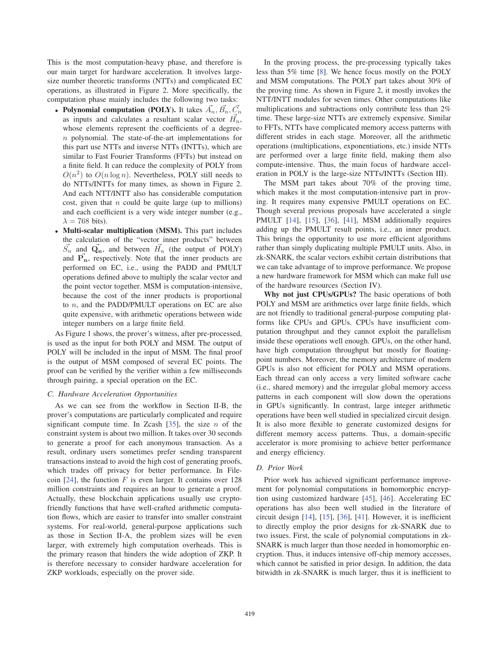This is the most computation-heavy phase, and therefore is our main target for hardware acceleration. It involves largesize number theoretic transforms (NTTs) and complicated EC operations, as illustrated in Figure 2. More specifically, the computation phase mainly includes the following two tasks:

- Polynomial computation (POLY). It takes  $\vec{A}_n, \vec{B}_n, \vec{C}_n$ as inputs and calculates a resultant scalar vector  $H_n$ , whose elements represent the coefficients of a degreen polynomial. The state-of-the-art implementations for this part use NTTs and inverse NTTs (INTTs), which are similar to Fast Fourier Transforms (FFTs) but instead on a finite field. It can reduce the complexity of POLY from  $O(n^2)$  to  $O(n \log n)$ . Nevertheless, POLY still needs to do NTTs/INTTs for many times, as shown in Figure 2. And each NTT/INTT also has considerable computation cost, given that  $n$  could be quite large (up to millions) and each coefficient is a very wide integer number (e.g.,  $\lambda = 768$  bits).
- Multi-scalar multiplication (MSM). This part includes the calculation of the "vector inner products" between  $\vec{S}_n$  and  $\vec{Q}_n$ , and between  $\vec{H}_n$  (the output of POLY) and  $\mathbf{P}_{n}$ , respectively. Note that the inner products are performed on EC, i.e., using the PADD and PMULT operations defined above to multiply the scalar vector and the point vector together. MSM is computation-intensive, because the cost of the inner products is proportional to  $n$ , and the PADD/PMULT operations on EC are also quite expensive, with arithmetic operations between wide integer numbers on a large finite field.

As Figure 1 shows, the prover's witness, after pre-processed, is used as the input for both POLY and MSM. The output of POLY will be included in the input of MSM. The final proof is the output of MSM composed of several EC points. The proof can be verified by the verifier within a few milliseconds through pairing, a special operation on the EC.

#### *C. Hardware Acceleration Opportunities*

As we can see from the workflow in Section II-B, the prover's computations are particularly complicated and require significant compute time. In Zcash [35], the size  $n$  of the constraint system is about two million. It takes over 30 seconds to generate a proof for each anonymous transaction. As a result, ordinary users sometimes prefer sending transparent transactions instead to avoid the high cost of generating proofs, which trades off privacy for better performance. In Filecoin [24], the function  $F$  is even larger. It contains over 128 million constraints and requires an hour to generate a proof. Actually, these blockchain applications usually use cryptofriendly functions that have well-crafted arithmetic computation flows, which are easier to transfer into smaller constraint systems. For real-world, general-purpose applications such as those in Section II-A, the problem sizes will be even larger, with extremely high computation overheads. This is the primary reason that hinders the wide adoption of ZKP. It is therefore necessary to consider hardware acceleration for ZKP workloads, especially on the prover side.

In the proving process, the pre-processing typically takes less than 5% time [8]. We hence focus mostly on the POLY and MSM computations. The POLY part takes about 30% of the proving time. As shown in Figure 2, it mostly invokes the NTT/INTT modules for seven times. Other computations like multiplications and subtractions only contribute less than 2% time. These large-size NTTs are extremely expensive. Similar to FFTs, NTTs have complicated memory access patterns with different strides in each stage. Moreover, all the arithmetic operations (multiplications, exponentiations, etc.) inside NTTs are performed over a large finite field, making them also compute-intensive. Thus, the main focus of hardware acceleration in POLY is the large-size NTTs/INTTs (Section III).

The MSM part takes about 70% of the proving time, which makes it the most computation-intensive part in proving. It requires many expensive PMULT operations on EC. Though several previous proposals have accelerated a single PMULT [14], [15], [36], [41], MSM additionally requires adding up the PMULT result points, i.e., an inner product. This brings the opportunity to use more efficient algorithms rather than simply duplicating multiple PMULT units. Also, in zk-SNARK, the scalar vectors exhibit certain distributions that we can take advantage of to improve performance. We propose a new hardware framework for MSM which can make full use of the hardware resources (Section IV).

Why not just CPUs/GPUs? The basic operations of both POLY and MSM are arithmetics over large finite fields, which are not friendly to traditional general-purpose computing platforms like CPUs and GPUs. CPUs have insufficient computation throughput and they cannot exploit the parallelism inside these operations well enough. GPUs, on the other hand, have high computation throughput but mostly for floatingpoint numbers. Moreover, the memory architecture of modern GPUs is also not efficient for POLY and MSM operations. Each thread can only access a very limited software cache (i.e., shared memory) and the irregular global memory access patterns in each component will slow down the operations in GPUs significantly. In contrast, large integer arithmetic operations have been well studied in specialized circuit design. It is also more flexible to generate customized designs for different memory access patterns. Thus, a domain-specific accelerator is more promising to achieve better performance and energy efficiency.

# *D. Prior Work*

Prior work has achieved significant performance improvement for polynomial computations in homomorphic encryption using customized hardware [45], [46]. Accelerating EC operations has also been well studied in the literature of circuit design [14], [15], [36], [41]. However, it is inefficient to directly employ the prior designs for zk-SNARK due to two issues. First, the scale of polynomial computations in zk-SNARK is much larger than those needed in homomorphic encryption. Thus, it induces intensive off-chip memory accesses, which cannot be satisfied in prior design. In addition, the data bitwidth in zk-SNARK is much larger, thus it is inefficient to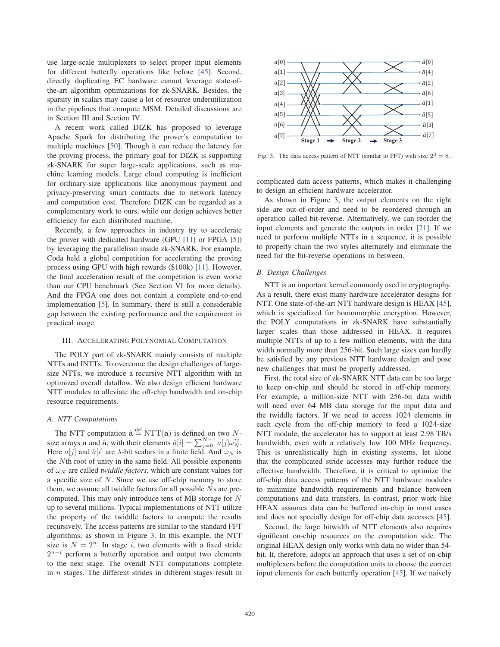use large-scale multiplexers to select proper input elements for different butterfly operations like before [45]. Second, directly duplicating EC hardware cannot leverage state-ofthe-art algorithm optimizations for zk-SNARK. Besides, the sparsity in scalars may cause a lot of resource underutilization in the pipelines that compute MSM. Detailed discussions are in Section III and Section IV.

A recent work called DIZK has proposed to leverage Apache Spark for distributing the prover's computation to multiple machines [50]. Though it can reduce the latency for the proving process, the primary goal for DIZK is supporting zk-SNARK for super large-scale applications, such as machine learning models. Large cloud computing is inefficient for ordinary-size applications like anonymous payment and privacy-preserving smart contracts due to network latency and computation cost. Therefore DIZK can be regarded as a complementary work to ours, while our design achieves better efficiency for each distributed machine.

Recently, a few approaches in industry try to accelerate the prover with dedicated hardware (GPU [11] or FPGA [5]) by leveraging the parallelism inside zk-SNARK. For example, Coda held a global competition for accelerating the proving process using GPU with high rewards (\$100k) [11]. However, the final acceleration result of the competition is even worse than our CPU benchmark (See Section VI for more details). And the FPGA one does not contain a complete end-to-end implementation [5]. In summary, there is still a considerable gap between the existing performance and the requirement in practical usage.

# III. ACCELERATING POLYNOMIAL COMPUTATION

The POLY part of zk-SNARK mainly consists of multiple NTTs and INTTs. To overcome the design challenges of largesize NTTs, we introduce a recursive NTT algorithm with an optimized overall dataflow. We also design efficient hardware NTT modules to alleviate the off-chip bandwidth and on-chip resource requirements.

# *A. NTT Computations*

The NTT computation  $\hat{\mathbf{a}} \stackrel{\text{def}}{=} NTT(\mathbf{a})$  is defined on two Nsize arrays **a** and **a**̂, with their elements  $\hat{a}[i] = \sum_{j=0}^{N-1} a[j]\omega_{N}^{ij}$ .<br>Here a[i] and  $\hat{a}[i]$  are *l*-bit scalars in a finite field. And (i): is Here  $a[j]$  and  $\hat{a}[i]$  are  $\lambda$ -bit scalars in a finite field. And  $\omega_N$  is the Nth root of unity in the same field. All possible exponents of  $\omega_N$  are called *twiddle factors*, which are constant values for a specific size of  $N$ . Since we use off-chip memory to store them, we assume all twiddle factors for all possible Ns are precomputed. This may only introduce tens of MB storage for N up to several millions. Typical implementations of NTT utilize the property of the twiddle factors to compute the results recursively. The access patterns are similar to the standard FFT algorithms, as shown in Figure 3. In this example, the NTT size is  $N = 2<sup>n</sup>$ . In stage i, two elements with a fixed stride  $2^{n-i}$  perform a butterfly operation and output two elements to the next stage. The overall NTT computations complete in n stages. The different strides in different stages result in



Fig. 3. The data access pattern of NTT (similar to FFT) with size  $2^3 = 8$ .

complicated data access patterns, which makes it challenging to design an efficient hardware accelerator.

As shown in Figure 3, the output elements on the right side are out-of-order and need to be reordered through an operation called bit-reverse. Alternatively, we can reorder the input elements and generate the outputs in order [21]. If we need to perform multiple NTTs in a sequence, it is possible to properly chain the two styles alternately and eliminate the need for the bit-reverse operations in between.

## *B. Design Challenges*

NTT is an important kernel commonly used in cryptography. As a result, there exist many hardware accelerator designs for NTT. One state-of-the-art NTT hardware design is HEAX [45], which is specialized for homomorphic encryption. However, the POLY computations in zk-SNARK have substantially larger scales than those addressed in HEAX. It requires multiple NTTs of up to a few million elements, with the data width normally more than 256-bit. Such large sizes can hardly be satisfied by any previous NTT hardware design and pose new challenges that must be properly addressed.

First, the total size of zk-SNARK NTT data can be too large to keep on-chip and should be stored in off-chip memory. For example, a million-size NTT with 256-bit data width will need over 64 MB data storage for the input data and the twiddle factors. If we need to access 1024 elements in each cycle from the off-chip memory to feed a 1024-size NTT module, the accelerator has to support at least 2.98 TB/s bandwidth, even with a relatively low 100 MHz frequency. This is unrealistically high in existing systems, let alone that the complicated stride accesses may further reduce the effective bandwidth. Therefore, it is critical to optimize the off-chip data access patterns of the NTT hardware modules to minimize bandwidth requirements and balance between computations and data transfers. In contrast, prior work like HEAX assumes data can be buffered on-chip in most cases and does not specially design for off-chip data accesses [45].

Second, the large bitwidth of NTT elements also requires significant on-chip resources on the computation side. The original HEAX design only works with data no wider than 54 bit. It, therefore, adopts an approach that uses a set of on-chip multiplexers before the computation units to choose the correct input elements for each butterfly operation [45]. If we naively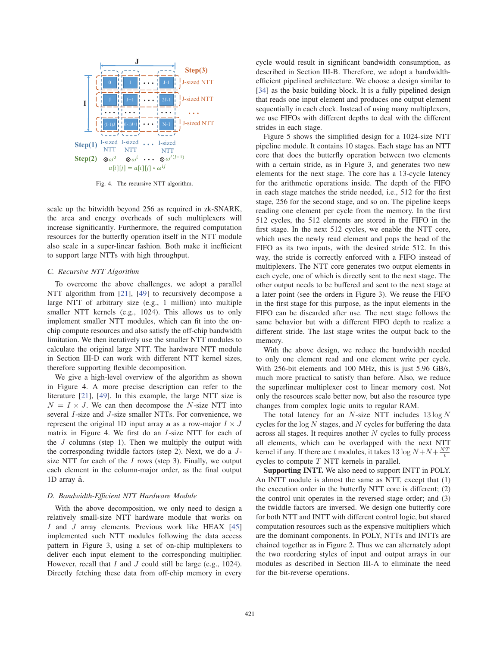

Fig. 4. The recursive NTT algorithm.

scale up the bitwidth beyond 256 as required in zk-SNARK, the area and energy overheads of such multiplexers will increase significantly. Furthermore, the required computation resources for the butterfly operation itself in the NTT module also scale in a super-linear fashion. Both make it inefficient to support large NTTs with high throughput.

# *C. Recursive NTT Algorithm*

To overcome the above challenges, we adopt a parallel NTT algorithm from [21], [49] to recursively decompose a large NTT of arbitrary size (e.g., 1 million) into multiple smaller NTT kernels (e.g., 1024). This allows us to only implement smaller NTT modules, which can fit into the onchip compute resources and also satisfy the off-chip bandwidth limitation. We then iteratively use the smaller NTT modules to calculate the original large NTT. The hardware NTT module in Section III-D can work with different NTT kernel sizes, therefore supporting flexible decomposition.

We give a high-level overview of the algorithm as shown in Figure 4. A more precise description can refer to the literature [21], [49]. In this example, the large NTT size is  $N = I \times J$ . We can then decompose the N-size NTT into several I-size and J-size smaller NTTs. For convenience, we represent the original 1D input array **a** as a row-major  $I \times J$ matrix in Figure 4. We first do an I-size NTT for each of the  $J$  columns (step 1). Then we multiply the output with the corresponding twiddle factors (step 2). Next, we do a Jsize NTT for each of the  $I$  rows (step 3). Finally, we output each element in the column-major order, as the final output 1D array **<sup>a</sup>**ˆ.

#### *D. Bandwidth-Efficient NTT Hardware Module*

With the above decomposition, we only need to design a relatively small-size NTT hardware module that works on  $I$  and  $J$  array elements. Previous work like HEAX [45] implemented such NTT modules following the data access pattern in Figure 3, using a set of on-chip multiplexers to deliver each input element to the corresponding multiplier. However, recall that  $I$  and  $J$  could still be large (e.g., 1024). Directly fetching these data from off-chip memory in every cycle would result in significant bandwidth consumption, as described in Section III-B. Therefore, we adopt a bandwidthefficient pipelined architecture. We choose a design similar to [34] as the basic building block. It is a fully pipelined design that reads one input element and produces one output element sequentially in each clock. Instead of using many multiplexers, we use FIFOs with different depths to deal with the different strides in each stage.

Figure 5 shows the simplified design for a 1024-size NTT pipeline module. It contains 10 stages. Each stage has an NTT core that does the butterfly operation between two elements with a certain stride, as in Figure 3, and generates two new elements for the next stage. The core has a 13-cycle latency for the arithmetic operations inside. The depth of the FIFO in each stage matches the stride needed, i.e., 512 for the first stage, 256 for the second stage, and so on. The pipeline keeps reading one element per cycle from the memory. In the first 512 cycles, the 512 elements are stored in the FIFO in the first stage. In the next 512 cycles, we enable the NTT core, which uses the newly read element and pops the head of the FIFO as its two inputs, with the desired stride 512. In this way, the stride is correctly enforced with a FIFO instead of multiplexers. The NTT core generates two output elements in each cycle, one of which is directly sent to the next stage. The other output needs to be buffered and sent to the next stage at a later point (see the orders in Figure 3). We reuse the FIFO in the first stage for this purpose, as the input elements in the FIFO can be discarded after use. The next stage follows the same behavior but with a different FIFO depth to realize a different stride. The last stage writes the output back to the memory.

With the above design, we reduce the bandwidth needed to only one element read and one element write per cycle. With 256-bit elements and 100 MHz, this is just 5.96 GB/s, much more practical to satisfy than before. Also, we reduce the superlinear multiplexer cost to linear memory cost. Not only the resources scale better now, but also the resource type changes from complex logic units to regular RAM.

The total latency for an  $N$ -size NTT includes  $13 \log N$ cycles for the  $log N$  stages, and N cycles for buffering the data across all stages. It requires another  $N$  cycles to fully process all elements, which can be overlapped with the next NTT kernel if any. If there are t modules, it takes  $13 \log N + N + \frac{NT}{t}$ <br>cycles to compute T NTT kernels in parallel cycles to compute T NTT kernels in parallel.

Supporting INTT. We also need to support INTT in POLY. An INTT module is almost the same as NTT, except that (1) the execution order in the butterfly NTT core is different; (2) the control unit operates in the reversed stage order; and (3) the twiddle factors are inversed. We design one butterfly core for both NTT and INTT with different control logic, but shared computation resources such as the expensive multipliers which are the dominant components. In POLY, NTTs and INTTs are chained together as in Figure 2. Thus we can alternately adopt the two reordering styles of input and output arrays in our modules as described in Section III-A to eliminate the need for the bit-reverse operations.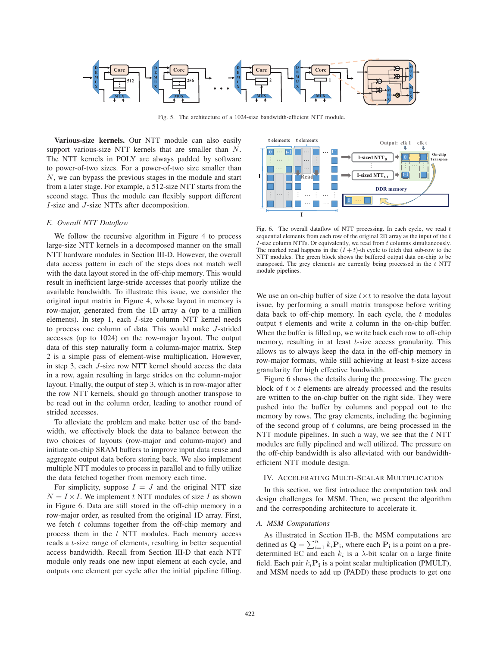

Fig. 5. The architecture of a 1024-size bandwidth-efficient NTT module.

Various-size kernels. Our NTT module can also easily support various-size NTT kernels that are smaller than N. The NTT kernels in POLY are always padded by software to power-of-two sizes. For a power-of-two size smaller than N, we can bypass the previous stages in the module and start from a later stage. For example, a 512-size NTT starts from the second stage. Thus the module can flexibly support different I-size and J-size NTTs after decomposition.

# *E. Overall NTT Dataflow*

We follow the recursive algorithm in Figure 4 to process large-size NTT kernels in a decomposed manner on the small NTT hardware modules in Section III-D. However, the overall data access pattern in each of the steps does not match well with the data layout stored in the off-chip memory. This would result in inefficient large-stride accesses that poorly utilize the available bandwidth. To illustrate this issue, we consider the original input matrix in Figure 4, whose layout in memory is row-major, generated from the 1D array **a** (up to a million elements). In step 1, each I-size column NTT kernel needs to process one column of data. This would make J-strided accesses (up to 1024) on the row-major layout. The output data of this step naturally form a column-major matrix. Step 2 is a simple pass of element-wise multiplication. However, in step 3, each J-size row NTT kernel should access the data in a row, again resulting in large strides on the column-major layout. Finally, the output of step 3, which is in row-major after the row NTT kernels, should go through another transpose to be read out in the column order, leading to another round of strided accesses.

To alleviate the problem and make better use of the bandwidth, we effectively block the data to balance between the two choices of layouts (row-major and column-major) and initiate on-chip SRAM buffers to improve input data reuse and aggregate output data before storing back. We also implement multiple NTT modules to process in parallel and to fully utilize the data fetched together from memory each time.

For simplicity, suppose  $I = J$  and the original NTT size  $N = I \times I$ . We implement t NTT modules of size I as shown in Figure 6. Data are still stored in the off-chip memory in a row-major order, as resulted from the original 1D array. First, we fetch  $t$  columns together from the off-chip memory and process them in the  $t$  NTT modules. Each memory access reads a t-size range of elements, resulting in better sequential access bandwidth. Recall from Section III-D that each NTT module only reads one new input element at each cycle, and outputs one element per cycle after the initial pipeline filling.



Fig. 6. The overall dataflow of NTT processing. In each cycle, we read  $t$ sequential elements from each row of the original 2D array as the input of the  $t$  $I$ -size column NTTs. Or equivalently, we read from  $t$  columns simultaneously. The marked read happens in the  $(I + t)$ -th cycle to fetch that sub-row to the NTT modules. The green block shows the buffered output data on-chip to be transposed. The grey elements are currently being processed in the  $t$  NTT module pipelines.

We use an on-chip buffer of size  $t \times t$  to resolve the data layout issue, by performing a small matrix transpose before writing data back to off-chip memory. In each cycle, the  $t$  modules output  $t$  elements and write a column in the on-chip buffer. When the buffer is filled up, we write back each row to off-chip memory, resulting in at least  $t$ -size access granularity. This allows us to always keep the data in the off-chip memory in row-major formats, while still achieving at least  $t$ -size access granularity for high effective bandwidth.

Figure 6 shows the details during the processing. The green block of  $t \times t$  elements are already processed and the results are written to the on-chip buffer on the right side. They were pushed into the buffer by columns and popped out to the memory by rows. The gray elements, including the beginning of the second group of  $t$  columns, are being processed in the NTT module pipelines. In such a way, we see that the  $t$  NTT modules are fully pipelined and well utilized. The pressure on the off-chip bandwidth is also alleviated with our bandwidthefficient NTT module design.

## IV. ACCELERATING MULTI-SCALAR MULTIPLICATION

In this section, we first introduce the computation task and design challenges for MSM. Then, we present the algorithm and the corresponding architecture to accelerate it.

#### *A. MSM Computations*

As illustrated in Section II-B, the MSM computations are defined as  $\mathbf{Q} = \sum_{i=1}^{n} k_i \mathbf{P_i}$ , where each  $\mathbf{P_i}$  is a point on a pre-<br>determined EC and each  $k_i$  is a *λ*-bit scalar on a large finite determined EC and each  $k_i$  is a  $\lambda$ -bit scalar on a large finite field. Each pair  $k_i$ **P**<sub>i</sub> is a point scalar multiplication (PMULT), and MSM needs to add up (PADD) these products to get one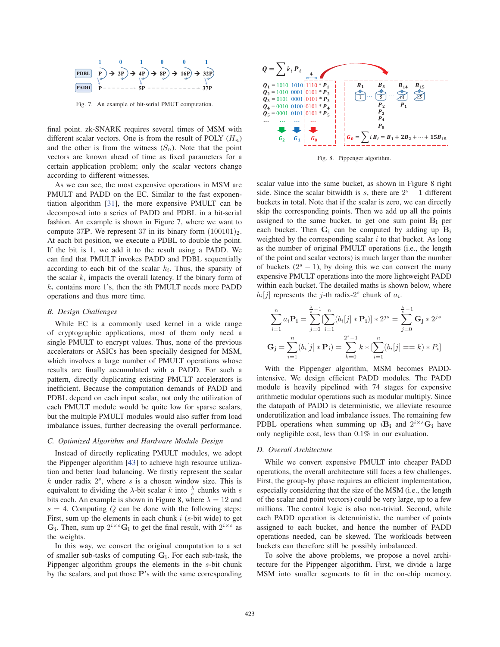

Fig. 7. An example of bit-serial PMUT computation.

final point. zk-SNARK requires several times of MSM with different scalar vectors. One is from the result of POLY  $(H_n)$ and the other is from the witness  $(S_n)$ . Note that the point vectors are known ahead of time as fixed parameters for a certain application problem; only the scalar vectors change according to different witnesses.

As we can see, the most expensive operations in MSM are PMULT and PADD on the EC. Similar to the fast exponentiation algorithm [31], the more expensive PMULT can be decomposed into a series of PADD and PDBL in a bit-serial fashion. An example is shown in Figure 7, where we want to compute 37P. We represent 37 in its binary form  $(100101)_2$ . At each bit position, we execute a PDBL to double the point. If the bit is 1, we add it to the result using a PADD. We can find that PMULT invokes PADD and PDBL sequentially according to each bit of the scalar  $k_i$ . Thus, the sparsity of the scalar  $k_i$  impacts the overall latency. If the binary form of  $k_i$  contains more 1's, then the *i*th PMULT needs more PADD operations and thus more time.

# *B. Design Challenges*

While EC is a commonly used kernel in a wide range of cryptographic applications, most of them only need a single PMULT to encrypt values. Thus, none of the previous accelerators or ASICs has been specially designed for MSM, which involves a large number of PMULT operations whose results are finally accumulated with a PADD. For such a pattern, directly duplicating existing PMULT accelerators is inefficient. Because the computation demands of PADD and PDBL depend on each input scalar, not only the utilization of each PMULT module would be quite low for sparse scalars, but the multiple PMULT modules would also suffer from load imbalance issues, further decreasing the overall performance.

# *C. Optimized Algorithm and Hardware Module Design*

Instead of directly replicating PMULT modules, we adopt the Pippenger algorithm [43] to achieve high resource utilization and better load balancing. We firstly represent the scalar  $k$  under radix  $2<sup>s</sup>$ , where s is a chosen window size. This is equivalent to dividing the  $\lambda$ -bit scalar k into  $\frac{\lambda}{s}$  chunks with s bits each. An example is shown in Figure 8, where  $\lambda = 12$  and  $s = 4$ . Computing Q can be done with the following steps: First, sum up the elements in each chunk  $i$  ( $s$ -bit wide) to get  $\mathbf{G}_i$ . Then, sum up  $2^{i \times s} \mathbf{G}_i$  to get the final result, with  $2^{i \times s}$  as the weights.

In this way, we convert the original computation to a set of smaller sub-tasks of computing **Gi**. For each sub-task, the Pippenger algorithm groups the elements in the s-bit chunk by the scalars, and put those **P**'s with the same corresponding



Fig. 8. Pippenger algorithm.

scalar value into the same bucket, as shown in Figure 8 right side. Since the scalar bitwidth is s, there are  $2<sup>s</sup> - 1$  different buckets in total. Note that if the scalar is zero, we can directly skip the corresponding points. Then we add up all the points assigned to the same bucket, to get one sum point  $B_i$  per each bucket. Then  $G_i$  can be computed by adding up  $B_i$ weighted by the corresponding scalar  $i$  to that bucket. As long as the number of original PMULT operations (i.e., the length of the point and scalar vectors) is much larger than the number of buckets  $(2<sup>s</sup> - 1)$ , by doing this we can convert the many expensive PMULT operations into the more lightweight PADD within each bucket. The detailed maths is shown below, where  $b_i[j]$  represents the *j*-th radix-2<sup>s</sup> chunk of  $a_i$ .

$$
\sum_{i=1}^{n} a_i \mathbf{P_i} = \sum_{j=0}^{\frac{\lambda}{s}-1} \left[ \sum_{i=1}^{n} (b_i[j] \ast \mathbf{P_i}) \right] \ast 2^{js} = \sum_{j=0}^{\frac{\lambda}{s}-1} \mathbf{G_j} \ast 2^{js}
$$

$$
\mathbf{G_j} = \sum_{i=1}^{n} (b_i[j] \ast \mathbf{P_i}) = \sum_{k=0}^{2^s - 1} k \ast \left[ \sum_{i=1}^{n} (b_i[j] == k) \ast P_i \right]
$$

With the Pippenger algorithm, MSM becomes PADDintensive. We design efficient PADD modules. The PADD module is heavily pipelined with 74 stages for expensive arithmetic modular operations such as modular multiply. Since the datapath of PADD is deterministic, we alleviate resource underutilization and load imbalance issues. The remaining few PDBL operations when summing up  $i\mathbf{B}_i$  and  $2^{i \times s}\mathbf{G}_i$  have only negligible cost, less than 0.1% in our evaluation.

#### *D. Overall Architecture*

While we convert expensive PMULT into cheaper PADD operations, the overall architecture still faces a few challenges. First, the group-by phase requires an efficient implementation, especially considering that the size of the MSM (i.e., the length of the scalar and point vectors) could be very large, up to a few millions. The control logic is also non-trivial. Second, while each PADD operation is deterministic, the number of points assigned to each bucket, and hence the number of PADD operations needed, can be skewed. The workloads between buckets can therefore still be possibly imbalanced.

To solve the above problems, we propose a novel architecture for the Pippenger algorithm. First, we divide a large MSM into smaller segments to fit in the on-chip memory.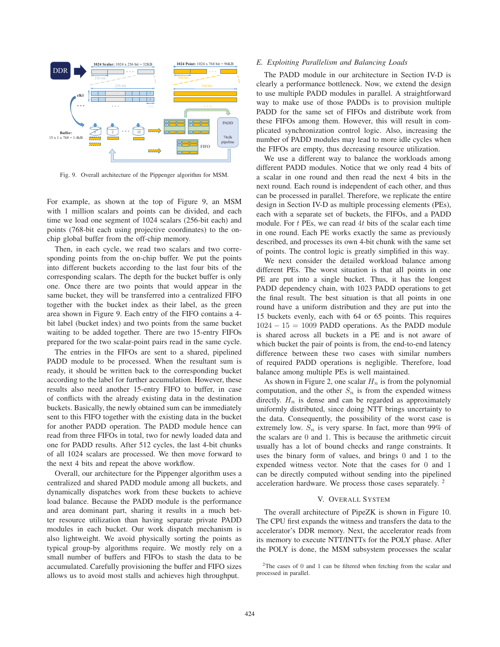

Fig. 9. Overall architecture of the Pippenger algorithm for MSM.

For example, as shown at the top of Figure 9, an MSM with 1 million scalars and points can be divided, and each time we load one segment of 1024 scalars (256-bit each) and points (768-bit each using projective coordinates) to the onchip global buffer from the off-chip memory.

Then, in each cycle, we read two scalars and two corresponding points from the on-chip buffer. We put the points into different buckets according to the last four bits of the corresponding scalars. The depth for the bucket buffer is only one. Once there are two points that would appear in the same bucket, they will be transferred into a centralized FIFO together with the bucket index as their label, as the green area shown in Figure 9. Each entry of the FIFO contains a 4 bit label (bucket index) and two points from the same bucket waiting to be added together. There are two 15-entry FIFOs prepared for the two scalar-point pairs read in the same cycle.

The entries in the FIFOs are sent to a shared, pipelined PADD module to be processed. When the resultant sum is ready, it should be written back to the corresponding bucket according to the label for further accumulation. However, these results also need another 15-entry FIFO to buffer, in case of conflicts with the already existing data in the destination buckets. Basically, the newly obtained sum can be immediately sent to this FIFO together with the existing data in the bucket for another PADD operation. The PADD module hence can read from three FIFOs in total, two for newly loaded data and one for PADD results. After 512 cycles, the last 4-bit chunks of all 1024 scalars are processed. We then move forward to the next 4 bits and repeat the above workflow.

Overall, our architecture for the Pippenger algorithm uses a centralized and shared PADD module among all buckets, and dynamically dispatches work from these buckets to achieve load balance. Because the PADD module is the performance and area dominant part, sharing it results in a much better resource utilization than having separate private PADD modules in each bucket. Our work dispatch mechanism is also lightweight. We avoid physically sorting the points as typical group-by algorithms require. We mostly rely on a small number of buffers and FIFOs to stash the data to be accumulated. Carefully provisioning the buffer and FIFO sizes allows us to avoid most stalls and achieves high throughput.

# *E. Exploiting Parallelism and Balancing Loads*

The PADD module in our architecture in Section IV-D is clearly a performance bottleneck. Now, we extend the design to use multiple PADD modules in parallel. A straightforward way to make use of those PADDs is to provision multiple PADD for the same set of FIFOs and distribute work from these FIFOs among them. However, this will result in complicated synchronization control logic. Also, increasing the number of PADD modules may lead to more idle cycles when the FIFOs are empty, thus decreasing resource utilization.

We use a different way to balance the workloads among different PADD modules. Notice that we only read 4 bits of a scalar in one round and then read the next 4 bits in the next round. Each round is independent of each other, and thus can be processed in parallel. Therefore, we replicate the entire design in Section IV-D as multiple processing elements (PEs), each with a separate set of buckets, the FIFOs, and a PADD module. For  $t$  PEs, we can read  $4t$  bits of the scalar each time in one round. Each PE works exactly the same as previously described, and processes its own 4-bit chunk with the same set of points. The control logic is greatly simplified in this way.

We next consider the detailed workload balance among different PEs. The worst situation is that all points in one PE are put into a single bucket. Thus, it has the longest PADD dependency chain, with 1023 PADD operations to get the final result. The best situation is that all points in one round have a uniform distribution and they are put into the 15 buckets evenly, each with 64 or 65 points. This requires  $1024 - 15 = 1009$  PADD operations. As the PADD module is shared across all buckets in a PE and is not aware of which bucket the pair of points is from, the end-to-end latency difference between these two cases with similar numbers of required PADD operations is negligible. Therefore, load balance among multiple PEs is well maintained.

As shown in Figure 2, one scalar  $H_n$  is from the polynomial computation, and the other  $S_n$  is from the expended witness directly.  $H_n$  is dense and can be regarded as approximately uniformly distributed, since doing NTT brings uncertainty to the data. Consequently, the possibility of the worst case is extremely low.  $S_n$  is very sparse. In fact, more than 99% of the scalars are 0 and 1. This is because the arithmetic circuit usually has a lot of bound checks and range constraints. It uses the binary form of values, and brings 0 and 1 to the expended witness vector. Note that the cases for 0 and 1 can be directly computed without sending into the pipelined acceleration hardware. We process those cases separately. <sup>2</sup>

## V. OVERALL SYSTEM

The overall architecture of PipeZK is shown in Figure 10. The CPU first expands the witness and transfers the data to the accelerator's DDR memory. Next, the accelerator reads from its memory to execute NTT/INTTs for the POLY phase. After the POLY is done, the MSM subsystem processes the scalar

<sup>2</sup>The cases of 0 and 1 can be filtered when fetching from the scalar and processed in parallel.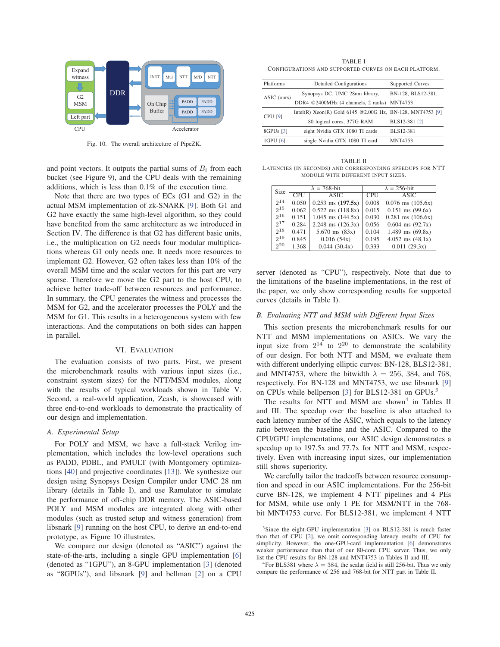

Fig. 10. The overall architecture of PipeZK.

and point vectors. It outputs the partial sums of  $B_i$  from each bucket (see Figure 9), and the CPU deals with the remaining additions, which is less than 0.1% of the execution time.

Note that there are two types of ECs (G1 and G2) in the actual MSM implementation of zk-SNARK [9]. Both G1 and G2 have exactly the same high-level algorithm, so they could have benefited from the same architecture as we introduced in Section IV. The difference is that G2 has different basic units, i.e., the multiplication on G2 needs four modular multiplications whereas G1 only needs one. It needs more resources to implement G2. However, G2 often takes less than 10% of the overall MSM time and the scalar vectors for this part are very sparse. Therefore we move the G2 part to the host CPU, to achieve better trade-off between resources and performance. In summary, the CPU generates the witness and processes the MSM for G2, and the accelerator processes the POLY and the MSM for G1. This results in a heterogeneous system with few interactions. And the computations on both sides can happen in parallel.

# VI. EVALUATION

The evaluation consists of two parts. First, we present the microbenchmark results with various input sizes (i.e., constraint system sizes) for the NTT/MSM modules, along with the results of typical workloads shown in Table V. Second, a real-world application, Zcash, is showcased with three end-to-end workloads to demonstrate the practicality of our design and implementation.

## *A. Experimental Setup*

For POLY and MSM, we have a full-stack Verilog implementation, which includes the low-level operations such as PADD, PDBL, and PMULT (with Montgomery optimizations [40] and projective coordinates [13]). We synthesize our design using Synopsys Design Compiler under UMC 28 nm library (details in Table I), and use Ramulator to simulate the performance of off-chip DDR memory. The ASIC-based POLY and MSM modules are integrated along with other modules (such as trusted setup and witness generation) from libsnark [9] running on the host CPU, to derive an end-to-end prototype, as Figure 10 illustrates.

We compare our design (denoted as "ASIC") against the state-of-the-arts, including a single GPU implementation [6] (denoted as "1GPU"), an 8-GPU implementation [3] (denoted as "8GPUs"), and libsnark [9] and bellman [2] on a CPU

TABLE I CONFIGURATIONS AND SUPPORTED CURVES ON EACH PLATFORM.

| Detailed Configurations                                   | Supported Curves   |
|-----------------------------------------------------------|--------------------|
| Synopsys DC, UMC 28nm library,                            | BN-128, BLS12-381, |
| DDR4 @2400MHz (4 channels, 2 ranks) MNT4753               |                    |
| Intel(R) Xeon(R) Gold 6145 @2.00G Hz, BN-128, MNT4753 [9] |                    |
| 80 logical cores, 377G RAM                                | BLS12-381 [2]      |
| eight Nvidia GTX 1080 TI cards                            | BLS12-381          |
| single Nvidia GTX 1080 TI card                            | <b>MNT4753</b>     |
|                                                           |                    |

TABLE II LATENCIES (IN SECONDS) AND CORRESPONDING SPEEDUPS FOR NTT MODULE WITH DIFFERENT INPUT SIZES.

| Size            |            | $\lambda = 768$ -bit  | $\lambda = 256$ -bit |                       |  |  |  |
|-----------------|------------|-----------------------|----------------------|-----------------------|--|--|--|
|                 | <b>CPU</b> | <b>ASIC</b>           | <b>CPU</b>           | <b>ASIC</b>           |  |  |  |
| $2^{14}$        | 0.050      | $0.253$ ms $(197.5x)$ | 0.008                | $0.076$ ms $(105.6x)$ |  |  |  |
| $2^{15}$        | 0.062      | $0.522$ ms $(118.8x)$ | 0.015                | $0.151$ ms $(99.6x)$  |  |  |  |
| $2^{16}$        | 0.151      | $1.045$ ms $(144.5x)$ | 0.030                | $0.281$ ms $(106.6x)$ |  |  |  |
| $2^{17}$        | 0.284      | $2.248$ ms $(126.3x)$ | 0.056                | $0.604$ ms $(92.7x)$  |  |  |  |
| $2^{18}$        | 0.471      | $5.670$ ms $(83x)$    | 0.104                | $1.489$ ms $(69.8x)$  |  |  |  |
| $2^{19}$        | 0.845      | 0.016(54x)            | 0.195                | $4.052$ ms $(48.1x)$  |  |  |  |
| 2 <sup>20</sup> | 1.368      | 0.044(30.4x)          | 0.333                | 0.011(29.3x)          |  |  |  |

server (denoted as "CPU"), respectively. Note that due to the limitations of the baseline implementations, in the rest of the paper, we only show corresponding results for supported curves (details in Table I).

# *B. Evaluating NTT and MSM with Different Input Sizes*

This section presents the microbenchmark results for our NTT and MSM implementations on ASICs. We vary the input size from  $2^{14}$  to  $2^{20}$  to demonstrate the scalability of our design. For both NTT and MSM, we evaluate them with different underlying elliptic curves: BN-128, BLS12-381, and MNT4753, where the bitwidth  $\lambda = 256$ , 384, and 768, respectively. For BN-128 and MNT4753, we use libsnark [9] on CPUs while bellperson [3] for BLS12-381 on GPUs.<sup>3</sup>

The results for NTT and MSM are shown<sup>4</sup> in Tables II and III. The speedup over the baseline is also attached to each latency number of the ASIC, which equals to the latency ratio between the baseline and the ASIC. Compared to the CPU/GPU implementations, our ASIC design demonstrates a speedup up to 197.5x and 77.7x for NTT and MSM, respectively. Even with increasing input sizes, our implementation still shows superiority.

We carefully tailor the tradeoffs between resource consumption and speed in our ASIC implementations. For the 256-bit curve BN-128, we implement 4 NTT pipelines and 4 PEs for MSM, while use only 1 PE for MSM/NTT in the 768 bit MNT4753 curve. For BLS12-381, we implement 4 NTT

<sup>&</sup>lt;sup>3</sup>Since the eight-GPU implementation [3] on BLS12-381 is much faster than that of CPU [2], we omit corresponding latency results of CPU for simplicity. However, the one-GPU-card implementation [6] demonstrates weaker performance than that of our 80-core CPU server. Thus, we only list the CPU results for BN-128 and MNT4753 in Tables II and III.

<sup>&</sup>lt;sup>4</sup>For BLS381 where  $\lambda = 384$ , the scalar field is still 256-bit. Thus we only compare the performance of 256 and 768-bit for NTT part in Table II.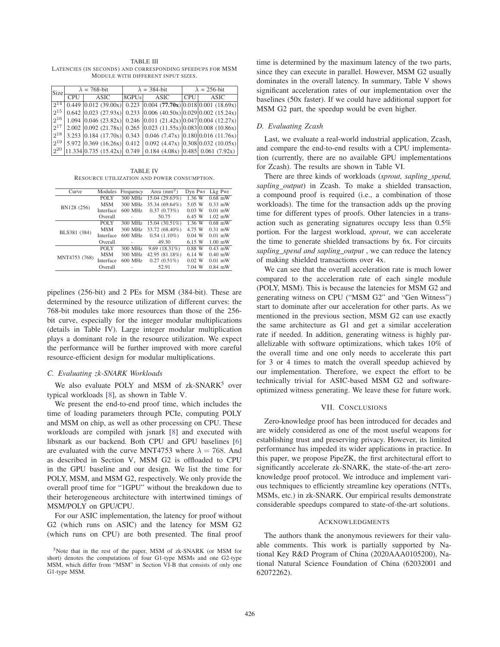TABLE III LATENCIES (IN SECONDS) AND CORRESPONDING SPEEDUPS FOR MSM MODULE WITH DIFFERENT INPUT SIZES.

| Size |            | $\lambda = 768$ -bit                                                                       |           | $\lambda = 384$ -bit | $\lambda = 256$ -bit |             |  |  |
|------|------------|--------------------------------------------------------------------------------------------|-----------|----------------------|----------------------|-------------|--|--|
|      | <b>CPU</b> | ASIC                                                                                       | $ 8$ GPUs | ASIC                 | $ $ CPU $ $          | <b>ASIC</b> |  |  |
|      |            | $2^{14}$ 0.449 0.012 (39.00x) 0.223 0.004 (77.70x) 0.018 0.001 (18.69x)                    |           |                      |                      |             |  |  |
|      |            | $2^{15}$   0.642   0.023 (27.93x)   0.233   0.006 (40.50x)   0.029   0.002 (15.24x)        |           |                      |                      |             |  |  |
|      |            | $2^{16}$   1.094 $ 0.046$ (23.82x)   0.246 $ 0.011$ (21.42x) $ 0.047 0.004$ (12.27x)       |           |                      |                      |             |  |  |
|      |            | $2^{17}$ 2.002 $ 0.092 \ (21.78x) \ 0.265 \  0.023 \ (11.55x) \ 0.083 \  0.008 \ (10.86x)$ |           |                      |                      |             |  |  |
|      |            | $2^{18}$ 3.253 0.184 (17.70x) 0.343 0.046 (7.47x) 0.180 0.016 (11.76x)                     |           |                      |                      |             |  |  |
|      |            | $2^{19}$ 5.972 0.369 (16.26x) 0.412 0.092 (4.47x) 0.308 0.032 (10.05x)                     |           |                      |                      |             |  |  |
|      |            | $2^{20}$  11.334   0.735 (15.42x)   0.749   0.184 (4.08x)   0.485   0.061 (7.92x)          |           |                      |                      |             |  |  |

TABLE IV RESOURCE UTILIZATION AND POWER CONSUMPTION.

| Curve         | Modules     | Frequency                                                                                                                                                                                                            | Area $(mm2)$   | Dyn Pwr   | Lkg Pwr   |
|---------------|-------------|----------------------------------------------------------------------------------------------------------------------------------------------------------------------------------------------------------------------|----------------|-----------|-----------|
|               | <b>POLY</b> | 300 MHz                                                                                                                                                                                                              | 15.04 (29.63%) | 1.36 W    | $0.68$ mW |
| BN128 (256)   | <b>MSM</b>  | 300 MHz                                                                                                                                                                                                              | 35.34 (69.64%) | 5.05 W    | $0.33$ mW |
|               | Interface   | 600 MHz                                                                                                                                                                                                              | 0.37(0.73%)    | 0.03 W    | $0.01$ mW |
|               | Overall     | 50.75<br>٠<br>$15.04(30.51\%)$<br>300 MHz<br>300 MHz 33.72 (68.40%)<br>$0.54(1.10\%)$<br>600 MHz<br>49.30<br>÷<br>$9.69(18.31\%)$<br>300 MHz<br>42.95 (81.18%)<br>300 MHz<br>600 MHz<br>$0.27(0.51\%)$<br>52.91<br>٠ | 6.45 W         | $1.02$ mW |           |
|               | POLY        |                                                                                                                                                                                                                      |                | 1.36 W    | $0.68$ mW |
|               | MSM         |                                                                                                                                                                                                                      |                | 4.75 W    | $0.31$ mW |
| BLS381 (384)  | Interface   |                                                                                                                                                                                                                      |                | 0.04 W    | $0.01$ mW |
|               | Overall     |                                                                                                                                                                                                                      |                | 6.15 W    | $1.00$ mW |
|               | POLY        |                                                                                                                                                                                                                      |                | $0.88$ W  | $0.43$ mW |
|               | <b>MSM</b>  |                                                                                                                                                                                                                      |                | 6.14 W    | $0.40$ mW |
| MNT4753 (768) | Interface   |                                                                                                                                                                                                                      |                | 0.02 W    | $0.01$ mW |
|               | Overall     |                                                                                                                                                                                                                      |                | 7.04 W    | $0.84$ mW |
|               |             |                                                                                                                                                                                                                      |                |           |           |

pipelines (256-bit) and 2 PEs for MSM (384-bit). These are determined by the resource utilization of different curves: the 768-bit modules take more resources than those of the 256 bit curve, especially for the integer modular multiplications (details in Table IV). Large integer modular multiplication plays a dominant role in the resource utilization. We expect the performance will be further improved with more careful resource-efficient design for modular multiplications.

# *C. Evaluating zk-SNARK Workloads*

We also evaluate POLY and MSM of zk-SNARK<sup>5</sup> over typical workloads [8], as shown in Table V.

We present the end-to-end proof time, which includes the time of loading parameters through PCIe, computing POLY and MSM on chip, as well as other processing on CPU. These workloads are compiled with jsnark [8] and executed with libsnark as our backend. Both CPU and GPU baselines [6] are evaluated with the curve MNT4753 where  $\lambda = 768$ . And as described in Section V, MSM G2 is offloaded to CPU in the GPU baseline and our design. We list the time for POLY, MSM, and MSM G2, respectively. We only provide the overall proof time for "1GPU" without the breakdown due to their heterogeneous architecture with intertwined timings of MSM/POLY on GPU/CPU.

For our ASIC implementation, the latency for proof without G2 (which runs on ASIC) and the latency for MSM G2 (which runs on CPU) are both presented. The final proof time is determined by the maximum latency of the two parts, since they can execute in parallel. However, MSM G2 usually dominates in the overall latency. In summary, Table V shows significant acceleration rates of our implementation over the baselines (50x faster). If we could have additional support for MSM G2 part, the speedup would be even higher.

# *D. Evaluating Zcash*

Last, we evaluate a real-world industrial application, Zcash, and compare the end-to-end results with a CPU implementation (currently, there are no available GPU implementations for Zcash). The results are shown in Table VI.

There are three kinds of workloads (*sprout, sapling spend, sapling output*) in Zcash. To make a shielded transaction, a compound proof is required (i.e., a combination of those workloads). The time for the transaction adds up the proving time for different types of proofs. Other latencies in a transaction such as generating signatures occupy less than 0.5% portion. For the largest workload, *sprout*, we can accelerate the time to generate shielded transactions by 6x. For circuits *sapling spend and sapling output* , we can reduce the latency of making shielded transactions over 4x.

We can see that the overall acceleration rate is much lower compared to the acceleration rate of each single module (POLY, MSM). This is because the latencies for MSM G2 and generating witness on CPU ("MSM G2" and "Gen Witness") start to dominate after our acceleration for other parts. As we mentioned in the previous section, MSM G2 can use exactly the same architecture as G1 and get a similar acceleration rate if needed. In addition, generating witness is highly parallelizable with software optimizations, which takes 10% of the overall time and one only needs to accelerate this part for 3 or 4 times to match the overall speedup achieved by our implementation. Therefore, we expect the effort to be technically trivial for ASIC-based MSM G2 and softwareoptimized witness generating. We leave these for future work.

#### VII. CONCLUSIONS

Zero-knowledge proof has been introduced for decades and are widely considered as one of the most useful weapons for establishing trust and preserving privacy. However, its limited performance has impeded its wider applications in practice. In this paper, we propose PipeZK, the first architectural effort to significantly accelerate zk-SNARK, the state-of-the-art zeroknowledge proof protocol. We introduce and implement various techniques to efficiently streamline key operations (NTTs, MSMs, etc.) in zk-SNARK. Our empirical results demonstrate considerable speedups compared to state-of-the-art solutions.

#### ACKNOWLEDGMENTS

The authors thank the anonymous reviewers for their valuable comments. This work is partially supported by National Key R&D Program of China (2020AAA0105200), National Natural Science Foundation of China (62032001 and 62072262).

<sup>5</sup>Note that in the rest of the paper, MSM of zk-SNARK (or MSM for short) denotes the computations of four G1-type MSMs and one G2-type MSM, which differ from "MSM" in Section VI-B that consists of only one G1-type MSM.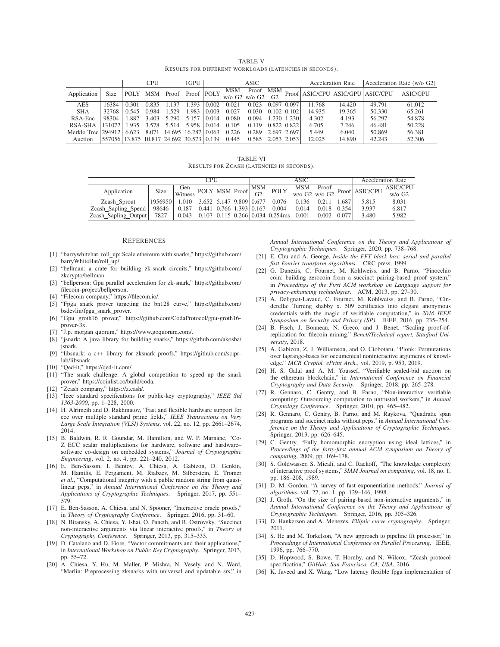TABLE V RESULTS FOR DIFFERENT WORKLOADS (LATENCIES IN SECONDS).

|                    |                                                    |       | <b>CPU</b> |                           | 1GPU       | ASIC  |            |                                                                   |                 |             | <b>Acceleration Rate</b> | Acceleration Rate (w/o G2) |                                  |                 |
|--------------------|----------------------------------------------------|-------|------------|---------------------------|------------|-------|------------|-------------------------------------------------------------------|-----------------|-------------|--------------------------|----------------------------|----------------------------------|-----------------|
| Application        | <b>Size</b>                                        |       |            | POLY MSM Proof            | Proof POLY |       | <b>MSM</b> | Proof<br>$w/o$ G <sub>2</sub> $w/o$ G <sub>2</sub> G <sub>2</sub> | <b>MSM</b>      |             |                          |                            | Proof ASIC/CPU ASIC/GPU ASIC/CPU | <b>ASIC/GPU</b> |
| <b>AES</b>         | 16384                                              | 0.301 | 0.835      | 137                       | .393       | 0.002 | 0.021      | 0.023                                                             | $0.097$ $0.097$ |             | 11.768                   | 14.420                     | 49.791                           | 61.012          |
| <b>SHA</b>         | 32768                                              | 0.545 | 0.984      | 1.529                     | .983       | 0.003 | 0.027      | 0.030                                                             | $0.102$ $0.102$ |             | 14.935                   | 19.365                     | 50.330                           | 65.261          |
| RSA-Enc            | 98304                                              | 1.882 | 3.403      | 5.290                     | 5.157      | 0.014 | 0.080      | 0.094                                                             |                 | 1.230 1.230 | 4.302                    | 4.193                      | 56.297                           | 54.878          |
| RSA-SHA            | 131072 1.935 3.578 5.514 5.958                     |       |            |                           |            | 0.014 | 0.105      | 0.119                                                             | 0.822 0.822     |             | 6.705                    | 7.246                      | 46.481                           | 50.228          |
| Merkle Tree 294912 |                                                    | 6.623 |            | 8.071 14.695 16.287 0.063 |            |       | 0.226      | 0.289                                                             | 2.697 2.697     |             | 5.449                    | 6.040                      | 50.869                           | 56.381          |
| Auction            | 557056   13.875   10.817   24.692   30.573   0.139 |       |            |                           |            |       | 0.445      | $0.585$ 2.053 2.053                                               |                 |             | 12.025                   | 14.890                     | 42.243                           | 52.306          |

TABLE VI RESULTS FOR ZCASH (LATENCIES IN SECONDS).

|                      | <b>CPU</b> |                               |                                 |                                                                                                                  | <b>ASIC</b> |  |                                                |             |        | Acceleration Rate |         |                                                                                                           |                 |
|----------------------|------------|-------------------------------|---------------------------------|------------------------------------------------------------------------------------------------------------------|-------------|--|------------------------------------------------|-------------|--------|-------------------|---------|-----------------------------------------------------------------------------------------------------------|-----------------|
| Application          | Size       |                               |                                 | $\begin{array}{c c}\n\text{Gen} \\ \text{Witness} \\ \text{POLY} \\ \text{MSM} \\ \text{Proof}\n\end{array}$ MSM |             |  |                                                | <b>POLY</b> |        |                   |         | $\begin{array}{cc} \text{MSM} & \text{Proof} \\ \text{w/o G2} & \text{w/o G2} \end{array}$ Proof ASIC/CPU | <b>ASIC/CPU</b> |
|                      |            |                               |                                 |                                                                                                                  |             |  |                                                |             |        |                   |         | $w/o$ G <sub>2</sub>                                                                                      |                 |
| Zcash Sprout         | 1956950    | 1.010 3.652 5.147 9.809 0.677 |                                 |                                                                                                                  |             |  | 0.076                                          | 0.136       | 0.2.11 | 1.687             | 5.815   | 8.031                                                                                                     |                 |
| Zcash_Sapling_Spend  | 98646      | 0.187                         | $0.441$ $0.766$ $1.393$ $0.167$ |                                                                                                                  |             |  | 0.004                                          | 0.014       | 0.018  | 0.354             | 3 9 3 7 | 6.817                                                                                                     |                 |
| Zcash_Sapling_Output | 7827       |                               |                                 |                                                                                                                  |             |  | $0.043$ 0.107 0.115 0.266 0.034 0.254 ms 0.001 |             | 0.002  | 0.077             | 3.480   | 5.982                                                                                                     |                 |

#### **REFERENCES**

- [1] "barrywhitehat. roll\_up: Scale ethereum with snarks," https://github.com/ barryWhiteHat/roll up/.
- [2] "bellman: a crate for building zk-snark circuits," https://github.com/ zkcrypto/bellman.
- [3] "bellperson: Gpu parallel acceleration for zk-snark," https://github.com/ filecoin-project/bellperson.
- [4] "Filecoin company," https://filecoin.io/.
- [5] "Fpga snark prover targeting the bn128 curve," https://github.com/ bsdevlin/fpga\_snark\_prover.
- [6] "Gpu groth16 prover," https://github.com/CodaProtocol/gpu-groth16 prover-3x.
- [7] "J.p. morgan quorum," https://www.goquorum.com/.
- [8] "jsnark: A java library for building snarks," https://github.com/akosba/ jsnark.
- [9] "libsnark: a c++ library for zksnark proofs," https://github.com/sciprlab/libsnark.
- [10] "Qed-it," https://qed-it.com/.
- [11] "The snark challenge: A global competition to speed up the snark prover," https://coinlist.co/build/coda.
- [12] "Zcash company," https://z.cash/.
- [13] "Ieee standard specifications for public-key cryptography," *IEEE Std 1363-2000*, pp. 1–228, 2000.
- [14] H. Alrimeih and D. Rakhmatov, "Fast and flexible hardware support for ecc over multiple standard prime fields," *IEEE Transactions on Very Large Scale Integration (VLSI) Systems*, vol. 22, no. 12, pp. 2661–2674, 2014.
- [15] B. Baldwin, R. R. Goundar, M. Hamilton, and W. P. Marnane, "Co-Z ECC scalar multiplications for hardware, software and hardware– software co-design on embedded systems," *Journal of Cryptographic Engineering*, vol. 2, no. 4, pp. 221–240, 2012.
- [16] E. Ben-Sasson, I. Bentov, A. Chiesa, A. Gabizon, D. Genkin, M. Hamilis, E. Pergament, M. Riabzev, M. Silberstein, E. Tromer *et al.*, "Computational integrity with a public random string from quasilinear pcps," in *Annual International Conference on the Theory and Applications of Cryptographic Techniques*. Springer, 2017, pp. 551– 579.
- [17] E. Ben-Sasson, A. Chiesa, and N. Spooner, "Interactive oracle proofs," in *Theory of Cryptography Conference*. Springer, 2016, pp. 31–60.
- [18] N. Bitansky, A. Chiesa, Y. Ishai, O. Paneth, and R. Ostrovsky, "Succinct non-interactive arguments via linear interactive proofs," in *Theory of Cryptography Conference*. Springer, 2013, pp. 315–333.
- [19] D. Catalano and D. Fiore, "Vector commitments and their applications," in *International Workshop on Public Key Cryptography*. Springer, 2013, pp. 55–72.
- [20] A. Chiesa, Y. Hu, M. Maller, P. Mishra, N. Vesely, and N. Ward, "Marlin: Preprocessing zksnarks with universal and updatable srs," in

*Annual International Conference on the Theory and Applications of Cryptographic Techniques*. Springer, 2020, pp. 738–768.

- [21] E. Chu and A. George, *Inside the FFT black box: serial and parallel fast Fourier transform algorithms*. CRC press, 1999.
- [22] G. Danezis, C. Fournet, M. Kohlweiss, and B. Parno, "Pinocchio coin: building zerocoin from a succinct pairing-based proof system," in *Proceedings of the First ACM workshop on Language support for privacy-enhancing technologies*. ACM, 2013, pp. 27–30.
- [23] A. Delignat-Lavaud, C. Fournet, M. Kohlweiss, and B. Parno, "Cinderella: Turning shabby x. 509 certificates into elegant anonymous credentials with the magic of verifiable computation," in *2016 IEEE Symposium on Security and Privacy (SP)*. IEEE, 2016, pp. 235–254.
- [24] B. Fisch, J. Bonneau, N. Greco, and J. Benet, "Scaling proof-ofreplication for filecoin mining," *Benet//Technical report, Stanford University*, 2018.
- [25] A. Gabizon, Z. J. Williamson, and O. Ciobotaru, "Plonk: Permutations over lagrange-bases for oecumenical noninteractive arguments of knowledge." *IACR Cryptol. ePrint Arch.*, vol. 2019, p. 953, 2019.
- [26] H. S. Galal and A. M. Youssef, "Verifiable sealed-bid auction on the ethereum blockchain," in *International Conference on Financial Cryptography and Data Security*. Springer, 2018, pp. 265–278.
- [27] R. Gennaro, C. Gentry, and B. Parno, "Non-interactive verifiable computing: Outsourcing computation to untrusted workers," in *Annual Cryptology Conference*. Springer, 2010, pp. 465–482.
- [28] R. Gennaro, C. Gentry, B. Parno, and M. Raykova, "Quadratic span programs and succinct nizks without pcps," in *Annual International Conference on the Theory and Applications of Cryptographic Techniques*. Springer, 2013, pp. 626–645.
- [29] C. Gentry, "Fully homomorphic encryption using ideal lattices," in *Proceedings of the forty-first annual ACM symposium on Theory of computing*, 2009, pp. 169–178.
- [30] S. Goldwasser, S. Micali, and C. Rackoff, "The knowledge complexity of interactive proof systems," *SIAM Journal on computing*, vol. 18, no. 1, pp. 186–208, 1989.
- [31] D. M. Gordon, "A survey of fast exponentiation methods," *Journal of algorithms*, vol. 27, no. 1, pp. 129–146, 1998.
- [32] J. Groth, "On the size of pairing-based non-interactive arguments," in *Annual International Conference on the Theory and Applications of Cryptographic Techniques*. Springer, 2016, pp. 305–326.
- [33] D. Hankerson and A. Menezes, *Elliptic curve cryptography*. Springer, 2011.
- [34] S. He and M. Torkelson, "A new approach to pipeline fft processor," in *Proceedings of International Conference on Parallel Processing*. IEEE, 1996, pp. 766–770.
- [35] D. Hopwood, S. Bowe, T. Hornby, and N. Wilcox, "Zcash protocol specification," *GitHub: San Francisco, CA, USA*, 2016.
- [36] K. Javeed and X. Wang, "Low latency flexible fpga implementation of